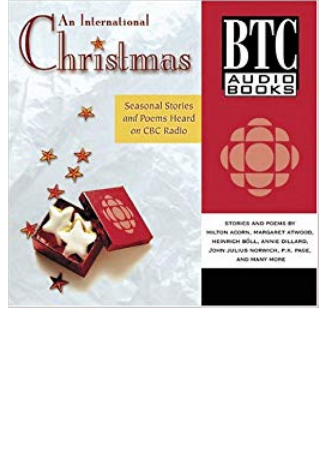## An International mistmas

**Seasonal Stories** and Poems Heard on CBC Radio





**ETORICS AND POCMS BY** MILTON ACORN, MARGARET ATWOOD. HEINRICH BÖLL, ANNIE DILLARD. JOHN JULIUS NORWICH, P.K. PAGE AND MANY MORE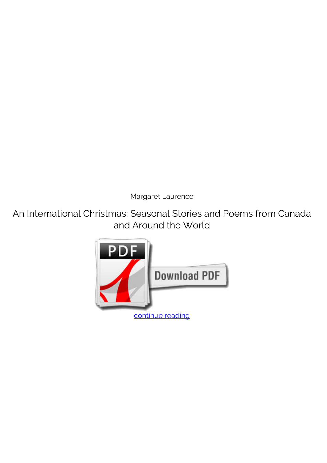*Margaret Laurence*

**An International Christmas: Seasonal Stories and Poems from Canada and Around the World**

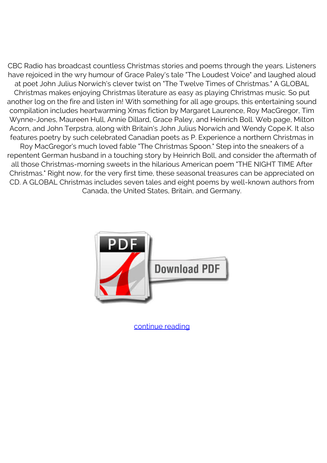CBC Radio has broadcast countless Christmas stories and poems through the years. Listeners have rejoiced in the wry humour of Grace Paley's tale "The Loudest Voice" and laughed aloud at poet John Julius Norwich's clever twist on "The Twelve Times of Christmas." A GLOBAL Christmas makes enjoying Christmas literature as easy as playing Christmas music. So put another log on the fire and listen in! With something for all age groups, this entertaining sound compilation includes heartwarming Xmas fiction by Margaret Laurence, Roy MacGregor, Tim Wynne-Jones, Maureen Hull, Annie Dillard, Grace Paley, and Heinrich Boll. Web page, Milton Acorn, and John Terpstra, along with Britain's John Julius Norwich and Wendy Cope.K. It also features poetry by such celebrated Canadian poets as P. Experience a northern Christmas in Roy MacGregor's much loved fable "The Christmas Spoon." Step into the sneakers of a repentent German husband in a touching story by Heinrich Boll, and consider the aftermath of all those Christmas-morning sweets in the hilarious American poem "THE NIGHT TIME After Christmas." Right now, for the very first time, these seasonal treasures can be appreciated on CD. A GLOBAL Christmas includes seven tales and eight poems by well-known authors from Canada, the United States, Britain, and Germany.



[continue reading](http://bit.ly/2Tge8Fv)